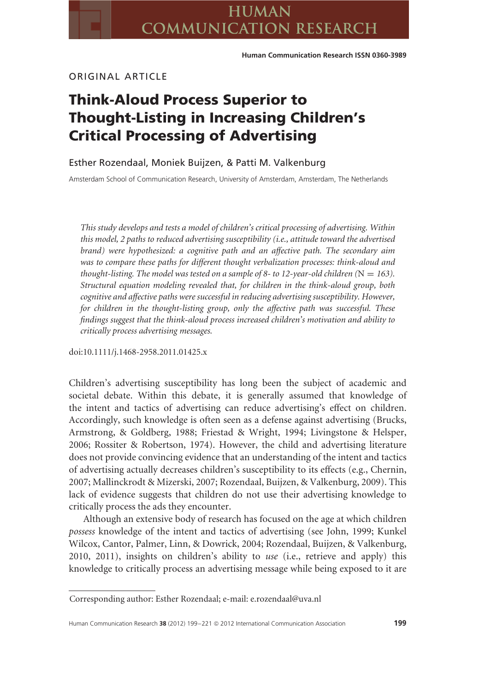# ORIGINAL ARTICLE

# **Think-Aloud Process Superior to Thought-Listing in Increasing Children's Critical Processing of Advertising**

Esther Rozendaal, Moniek Buijzen, & Patti M. Valkenburg

Amsterdam School of Communication Research, University of Amsterdam, Amsterdam, The Netherlands

*This study develops and tests a model of children's critical processing of advertising. Within this model, 2 paths to reduced advertising susceptibility (i.e., attitude toward the advertised brand) were hypothesized: a cognitive path and an affective path. The secondary aim was to compare these paths for different thought verbalization processes: think-aloud and thought-listing. The model was tested on a sample of 8- to 12-year-old children*  $(N = 163)$ . *Structural equation modeling revealed that, for children in the think-aloud group, both cognitive and affective paths were successful in reducing advertising susceptibility. However, for children in the thought-listing group, only the affective path was successful. These findings suggest that the think-aloud process increased children's motivation and ability to critically process advertising messages.*

doi:10.1111/j.1468-2958.2011.01425.x

Children's advertising susceptibility has long been the subject of academic and societal debate. Within this debate, it is generally assumed that knowledge of the intent and tactics of advertising can reduce advertising's effect on children. Accordingly, such knowledge is often seen as a defense against advertising (Brucks, Armstrong, & Goldberg, 1988; Friestad & Wright, 1994; Livingstone & Helsper, 2006; Rossiter & Robertson, 1974). However, the child and advertising literature does not provide convincing evidence that an understanding of the intent and tactics of advertising actually decreases children's susceptibility to its effects (e.g., Chernin, 2007; Mallinckrodt & Mizerski, 2007; Rozendaal, Buijzen, & Valkenburg, 2009). This lack of evidence suggests that children do not use their advertising knowledge to critically process the ads they encounter.

Although an extensive body of research has focused on the age at which children *possess* knowledge of the intent and tactics of advertising (see John, 1999; Kunkel Wilcox, Cantor, Palmer, Linn, & Dowrick, 2004; Rozendaal, Buijzen, & Valkenburg, 2010, 2011), insights on children's ability to *use* (i.e., retrieve and apply) this knowledge to critically process an advertising message while being exposed to it are

Corresponding author: Esther Rozendaal; e-mail: e.rozendaal@uva.nl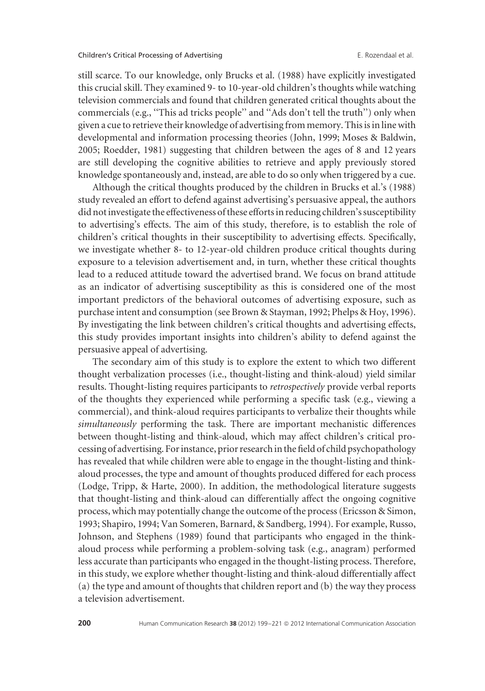still scarce. To our knowledge, only Brucks et al. (1988) have explicitly investigated this crucial skill. They examined 9- to 10-year-old children's thoughts while watching television commercials and found that children generated critical thoughts about the commercials (e.g., ''This ad tricks people'' and ''Ads don't tell the truth'') only when given a cue to retrieve their knowledge of advertising from memory. This is in line with developmental and information processing theories (John, 1999; Moses & Baldwin, 2005; Roedder, 1981) suggesting that children between the ages of 8 and 12 years are still developing the cognitive abilities to retrieve and apply previously stored knowledge spontaneously and, instead, are able to do so only when triggered by a cue.

Although the critical thoughts produced by the children in Brucks et al.'s (1988) study revealed an effort to defend against advertising's persuasive appeal, the authors did not investigate the effectiveness of these efforts in reducing children's susceptibility to advertising's effects. The aim of this study, therefore, is to establish the role of children's critical thoughts in their susceptibility to advertising effects. Specifically, we investigate whether 8- to 12-year-old children produce critical thoughts during exposure to a television advertisement and, in turn, whether these critical thoughts lead to a reduced attitude toward the advertised brand. We focus on brand attitude as an indicator of advertising susceptibility as this is considered one of the most important predictors of the behavioral outcomes of advertising exposure, such as purchase intent and consumption (see Brown & Stayman, 1992; Phelps & Hoy, 1996). By investigating the link between children's critical thoughts and advertising effects, this study provides important insights into children's ability to defend against the persuasive appeal of advertising.

The secondary aim of this study is to explore the extent to which two different thought verbalization processes (i.e., thought-listing and think-aloud) yield similar results. Thought-listing requires participants to *retrospectively* provide verbal reports of the thoughts they experienced while performing a specific task (e.g., viewing a commercial), and think-aloud requires participants to verbalize their thoughts while *simultaneously* performing the task. There are important mechanistic differences between thought-listing and think-aloud, which may affect children's critical processing of advertising. For instance, prior research in the field of child psychopathology has revealed that while children were able to engage in the thought-listing and thinkaloud processes, the type and amount of thoughts produced differed for each process (Lodge, Tripp, & Harte, 2000). In addition, the methodological literature suggests that thought-listing and think-aloud can differentially affect the ongoing cognitive process, which may potentially change the outcome of the process (Ericsson & Simon, 1993; Shapiro, 1994; Van Someren, Barnard, & Sandberg, 1994). For example, Russo, Johnson, and Stephens (1989) found that participants who engaged in the thinkaloud process while performing a problem-solving task (e.g., anagram) performed less accurate than participants who engaged in the thought-listing process. Therefore, in this study, we explore whether thought-listing and think-aloud differentially affect (a) the type and amount of thoughts that children report and (b) the way they process a television advertisement.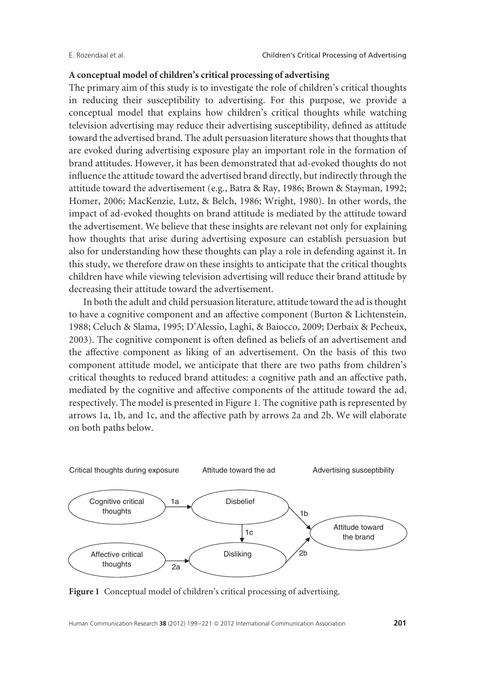### **A conceptual model of children's critical processing of advertising**

The primary aim of this study is to investigate the role of children's critical thoughts in reducing their susceptibility to advertising. For this purpose, we provide a conceptual model that explains how children's critical thoughts while watching television advertising may reduce their advertising susceptibility, defined as attitude toward the advertised brand. The adult persuasion literature shows that thoughts that are evoked during advertising exposure play an important role in the formation of brand attitudes. However, it has been demonstrated that ad-evoked thoughts do not influence the attitude toward the advertised brand directly, but indirectly through the attitude toward the advertisement (e.g., Batra & Ray, 1986; Brown & Stayman, 1992; Homer, 2006; MacKenzie, Lutz, & Belch, 1986; Wright, 1980). In other words, the impact of ad-evoked thoughts on brand attitude is mediated by the attitude toward the advertisement. We believe that these insights are relevant not only for explaining how thoughts that arise during advertising exposure can establish persuasion but also for understanding how these thoughts can play a role in defending against it. In this study, we therefore draw on these insights to anticipate that the critical thoughts children have while viewing television advertising will reduce their brand attitude by decreasing their attitude toward the advertisement.

In both the adult and child persuasion literature, attitude toward the ad is thought to have a cognitive component and an affective component (Burton & Lichtenstein, 1988; Celuch & Slama, 1995; D'Alessio, Laghi, & Baiocco, 2009; Derbaix & Pecheux, 2003). The cognitive component is often defined as beliefs of an advertisement and the affective component as liking of an advertisement. On the basis of this two component attitude model, we anticipate that there are two paths from children's critical thoughts to reduced brand attitudes: a cognitive path and an affective path, mediated by the cognitive and affective components of the attitude toward the ad, respectively. The model is presented in Figure 1. The cognitive path is represented by arrows 1a, 1b, and 1c, and the affective path by arrows 2a and 2b. We will elaborate on both paths below.



**Figure 1** Conceptual model of children's critical processing of advertising.

Human Communication Research **38** (2012) 199–221 © 2012 International Communication Association **201**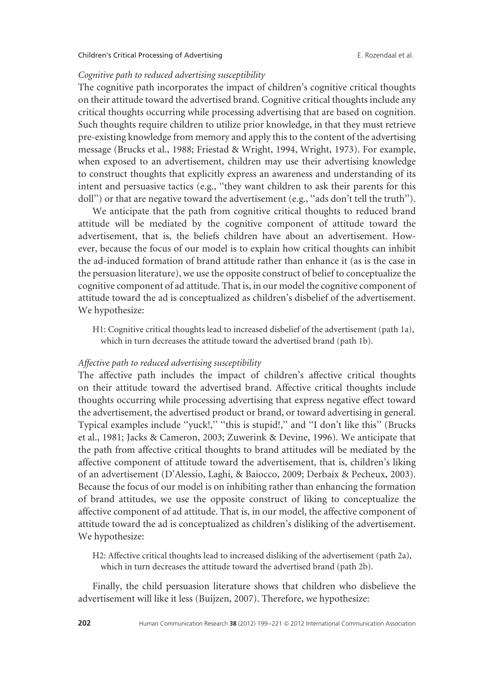# *Cognitive path to reduced advertising susceptibility*

The cognitive path incorporates the impact of children's cognitive critical thoughts on their attitude toward the advertised brand. Cognitive critical thoughts include any critical thoughts occurring while processing advertising that are based on cognition. Such thoughts require children to utilize prior knowledge, in that they must retrieve pre-existing knowledge from memory and apply this to the content of the advertising message (Brucks et al., 1988; Friestad & Wright, 1994, Wright, 1973). For example, when exposed to an advertisement, children may use their advertising knowledge to construct thoughts that explicitly express an awareness and understanding of its intent and persuasive tactics (e.g., ''they want children to ask their parents for this doll") or that are negative toward the advertisement (e.g., "ads don't tell the truth").

We anticipate that the path from cognitive critical thoughts to reduced brand attitude will be mediated by the cognitive component of attitude toward the advertisement, that is, the beliefs children have about an advertisement. However, because the focus of our model is to explain how critical thoughts can inhibit the ad-induced formation of brand attitude rather than enhance it (as is the case in the persuasion literature), we use the opposite construct of belief to conceptualize the cognitive component of ad attitude. That is, in our model the cognitive component of attitude toward the ad is conceptualized as children's disbelief of the advertisement. We hypothesize:

H1: Cognitive critical thoughts lead to increased disbelief of the advertisement (path 1a), which in turn decreases the attitude toward the advertised brand (path 1b).

### *Affective path to reduced advertising susceptibility*

The affective path includes the impact of children's affective critical thoughts on their attitude toward the advertised brand. Affective critical thoughts include thoughts occurring while processing advertising that express negative effect toward the advertisement, the advertised product or brand, or toward advertising in general. Typical examples include ''yuck!,'' ''this is stupid!,'' and ''I don't like this'' (Brucks et al., 1981; Jacks & Cameron, 2003; Zuwerink & Devine, 1996). We anticipate that the path from affective critical thoughts to brand attitudes will be mediated by the affective component of attitude toward the advertisement, that is, children's liking of an advertisement (D'Alessio, Laghi, & Baiocco, 2009; Derbaix & Pecheux, 2003). Because the focus of our model is on inhibiting rather than enhancing the formation of brand attitudes, we use the opposite construct of liking to conceptualize the affective component of ad attitude. That is, in our model, the affective component of attitude toward the ad is conceptualized as children's disliking of the advertisement. We hypothesize:

H2: Affective critical thoughts lead to increased disliking of the advertisement (path 2a), which in turn decreases the attitude toward the advertised brand (path 2b).

Finally, the child persuasion literature shows that children who disbelieve the advertisement will like it less (Buijzen, 2007). Therefore, we hypothesize: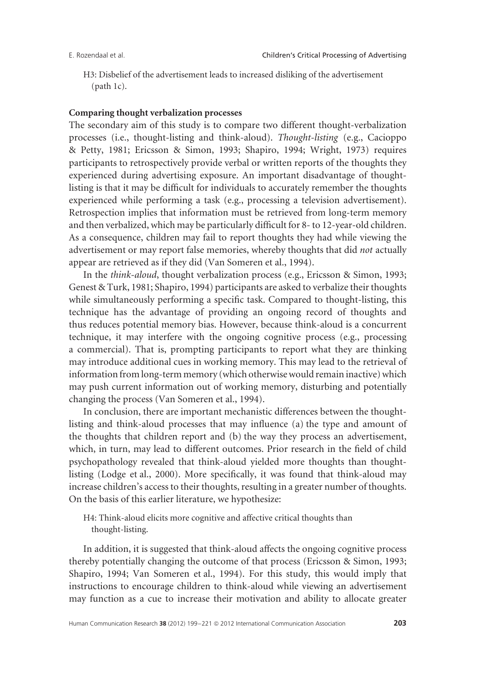H3: Disbelief of the advertisement leads to increased disliking of the advertisement (path 1c).

### **Comparing thought verbalization processes**

The secondary aim of this study is to compare two different thought-verbalization processes (i.e., thought-listing and think-aloud). *Thought-listing* (e.g., Cacioppo & Petty, 1981; Ericsson & Simon, 1993; Shapiro, 1994; Wright, 1973) requires participants to retrospectively provide verbal or written reports of the thoughts they experienced during advertising exposure. An important disadvantage of thoughtlisting is that it may be difficult for individuals to accurately remember the thoughts experienced while performing a task (e.g., processing a television advertisement). Retrospection implies that information must be retrieved from long-term memory and then verbalized, which may be particularly difficult for 8- to 12-year-old children. As a consequence, children may fail to report thoughts they had while viewing the advertisement or may report false memories, whereby thoughts that did *not* actually appear are retrieved as if they did (Van Someren et al., 1994).

In the *think-aloud*, thought verbalization process (e.g., Ericsson & Simon, 1993; Genest & Turk, 1981; Shapiro, 1994) participants are asked to verbalize their thoughts while simultaneously performing a specific task. Compared to thought-listing, this technique has the advantage of providing an ongoing record of thoughts and thus reduces potential memory bias. However, because think-aloud is a concurrent technique, it may interfere with the ongoing cognitive process (e.g., processing a commercial). That is, prompting participants to report what they are thinking may introduce additional cues in working memory. This may lead to the retrieval of information from long-term memory (which otherwise would remain inactive) which may push current information out of working memory, disturbing and potentially changing the process (Van Someren et al., 1994).

In conclusion, there are important mechanistic differences between the thoughtlisting and think-aloud processes that may influence (a) the type and amount of the thoughts that children report and (b) the way they process an advertisement, which, in turn, may lead to different outcomes. Prior research in the field of child psychopathology revealed that think-aloud yielded more thoughts than thoughtlisting (Lodge et al., 2000). More specifically, it was found that think-aloud may increase children's access to their thoughts, resulting in a greater number of thoughts. On the basis of this earlier literature, we hypothesize:

H4: Think-aloud elicits more cognitive and affective critical thoughts than thought-listing.

In addition, it is suggested that think-aloud affects the ongoing cognitive process thereby potentially changing the outcome of that process (Ericsson & Simon, 1993; Shapiro, 1994; Van Someren et al., 1994). For this study, this would imply that instructions to encourage children to think-aloud while viewing an advertisement may function as a cue to increase their motivation and ability to allocate greater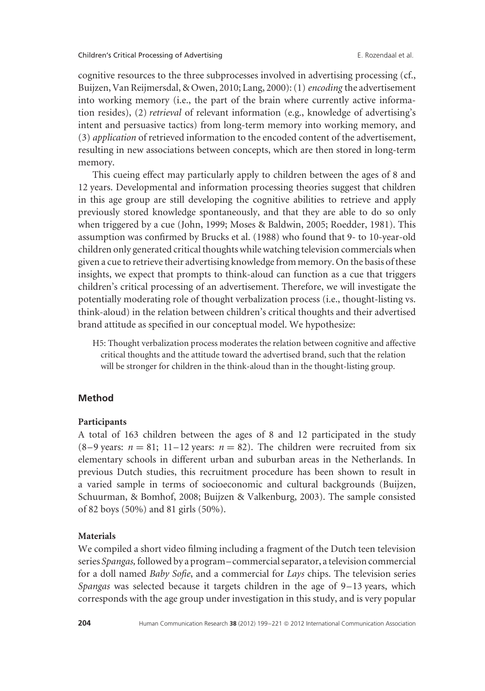cognitive resources to the three subprocesses involved in advertising processing (cf., Buijzen, Van Reijmersdal, & Owen, 2010; Lang, 2000): (1) *encoding* the advertisement into working memory (i.e., the part of the brain where currently active information resides), (2) *retrieval* of relevant information (e.g., knowledge of advertising's intent and persuasive tactics) from long-term memory into working memory, and (3) *application* of retrieved information to the encoded content of the advertisement, resulting in new associations between concepts, which are then stored in long-term memory.

This cueing effect may particularly apply to children between the ages of 8 and 12 years. Developmental and information processing theories suggest that children in this age group are still developing the cognitive abilities to retrieve and apply previously stored knowledge spontaneously, and that they are able to do so only when triggered by a cue (John, 1999; Moses & Baldwin, 2005; Roedder, 1981). This assumption was confirmed by Brucks et al. (1988) who found that 9- to 10-year-old children only generated critical thoughts while watching television commercials when given a cue to retrieve their advertising knowledge from memory. On the basis of these insights, we expect that prompts to think-aloud can function as a cue that triggers children's critical processing of an advertisement. Therefore, we will investigate the potentially moderating role of thought verbalization process (i.e., thought-listing vs. think-aloud) in the relation between children's critical thoughts and their advertised brand attitude as specified in our conceptual model. We hypothesize:

H5: Thought verbalization process moderates the relation between cognitive and affective critical thoughts and the attitude toward the advertised brand, such that the relation will be stronger for children in the think-aloud than in the thought-listing group.

### **Method**

### **Participants**

A total of 163 children between the ages of 8 and 12 participated in the study (8–9 years:  $n = 81$ ; 11–12 years:  $n = 82$ ). The children were recruited from six elementary schools in different urban and suburban areas in the Netherlands. In previous Dutch studies, this recruitment procedure has been shown to result in a varied sample in terms of socioeconomic and cultural backgrounds (Buijzen, Schuurman, & Bomhof, 2008; Buijzen & Valkenburg, 2003). The sample consisted of 82 boys (50%) and 81 girls (50%).

#### **Materials**

We compiled a short video filming including a fragment of the Dutch teen television series *Spangas,*followed by a program–commercial separator, a television commercial for a doll named *Baby Sofie*, and a commercial for *Lays* chips. The television series *Spangas* was selected because it targets children in the age of 9–13 years, which corresponds with the age group under investigation in this study, and is very popular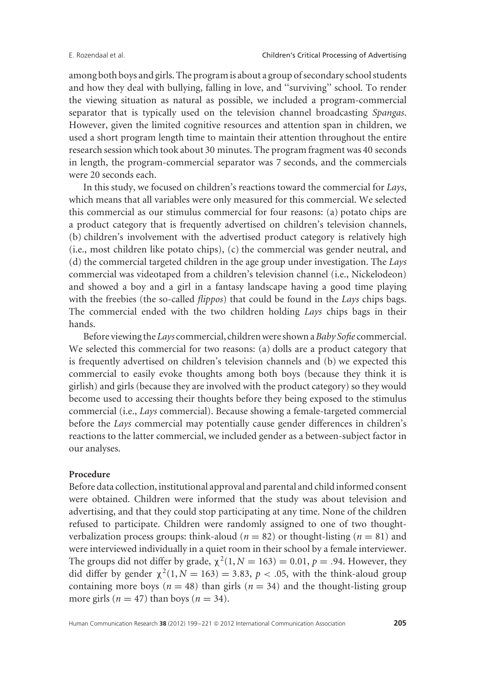among both boys and girls. The program is about a group of secondary school students and how they deal with bullying, falling in love, and ''surviving'' school. To render the viewing situation as natural as possible, we included a program-commercial separator that is typically used on the television channel broadcasting *Spangas*. However, given the limited cognitive resources and attention span in children, we used a short program length time to maintain their attention throughout the entire research session which took about 30 minutes. The program fragment was 40 seconds in length, the program-commercial separator was 7 seconds, and the commercials were 20 seconds each.

In this study, we focused on children's reactions toward the commercial for *Lays*, which means that all variables were only measured for this commercial. We selected this commercial as our stimulus commercial for four reasons: (a) potato chips are a product category that is frequently advertised on children's television channels, (b) children's involvement with the advertised product category is relatively high (i.e., most children like potato chips), (c) the commercial was gender neutral, and (d) the commercial targeted children in the age group under investigation. The *Lays* commercial was videotaped from a children's television channel (i.e., Nickelodeon) and showed a boy and a girl in a fantasy landscape having a good time playing with the freebies (the so-called *flippos*) that could be found in the *Lays* chips bags. The commercial ended with the two children holding *Lays* chips bags in their hands.

Before viewing the *Lays* commercial, children were shown a*Baby Sofie* commercial. We selected this commercial for two reasons: (a) dolls are a product category that is frequently advertised on children's television channels and (b) we expected this commercial to easily evoke thoughts among both boys (because they think it is girlish) and girls (because they are involved with the product category) so they would become used to accessing their thoughts before they being exposed to the stimulus commercial (i.e., *Lays* commercial). Because showing a female-targeted commercial before the *Lays* commercial may potentially cause gender differences in children's reactions to the latter commercial, we included gender as a between-subject factor in our analyses.

### **Procedure**

Before data collection, institutional approval and parental and child informed consent were obtained. Children were informed that the study was about television and advertising, and that they could stop participating at any time. None of the children refused to participate. Children were randomly assigned to one of two thoughtverbalization process groups: think-aloud ( $n = 82$ ) or thought-listing ( $n = 81$ ) and were interviewed individually in a quiet room in their school by a female interviewer. The groups did not differ by grade,  $\chi^2(1, N = 163) = 0.01$ ,  $p = .94$ . However, they did differ by gender  $\chi^2(1, N = 163) = 3.83$ ,  $p < .05$ , with the think-aloud group containing more boys ( $n = 48$ ) than girls ( $n = 34$ ) and the thought-listing group more girls ( $n = 47$ ) than boys ( $n = 34$ ).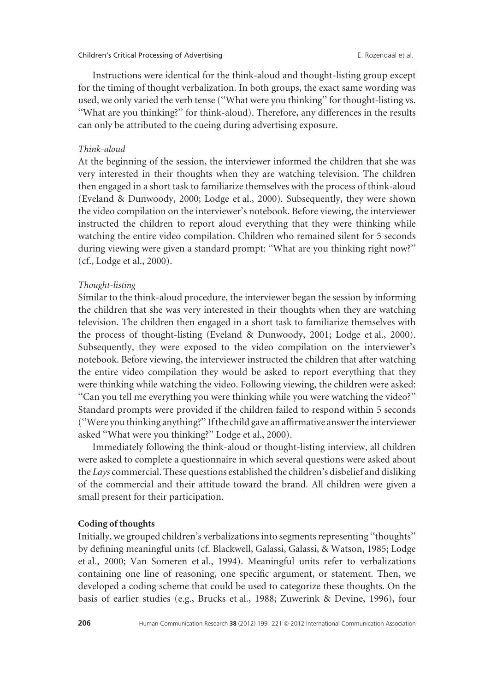Instructions were identical for the think-aloud and thought-listing group except for the timing of thought verbalization. In both groups, the exact same wording was used, we only varied the verb tense (''What were you thinking'' for thought-listing vs. ''What are you thinking?'' for think-aloud). Therefore, any differences in the results can only be attributed to the cueing during advertising exposure.

### *Think-aloud*

At the beginning of the session, the interviewer informed the children that she was very interested in their thoughts when they are watching television. The children then engaged in a short task to familiarize themselves with the process of think-aloud (Eveland & Dunwoody, 2000; Lodge et al., 2000). Subsequently, they were shown the video compilation on the interviewer's notebook. Before viewing, the interviewer instructed the children to report aloud everything that they were thinking while watching the entire video compilation. Children who remained silent for 5 seconds during viewing were given a standard prompt: ''What are you thinking right now?'' (cf., Lodge et al., 2000).

### *Thought-listing*

Similar to the think-aloud procedure, the interviewer began the session by informing the children that she was very interested in their thoughts when they are watching television. The children then engaged in a short task to familiarize themselves with the process of thought-listing (Eveland & Dunwoody, 2001; Lodge et al., 2000). Subsequently, they were exposed to the video compilation on the interviewer's notebook. Before viewing, the interviewer instructed the children that after watching the entire video compilation they would be asked to report everything that they were thinking while watching the video. Following viewing, the children were asked: ''Can you tell me everything you were thinking while you were watching the video?'' Standard prompts were provided if the children failed to respond within 5 seconds (''Were you thinking anything?'' If the child gave an affirmative answer the interviewer asked ''What were you thinking?'' Lodge et al., 2000).

Immediately following the think-aloud or thought-listing interview, all children were asked to complete a questionnaire in which several questions were asked about the *Lays* commercial. These questions established the children's disbelief and disliking of the commercial and their attitude toward the brand. All children were given a small present for their participation.

### **Coding of thoughts**

Initially, we grouped children's verbalizations into segments representing ''thoughts'' by defining meaningful units (cf. Blackwell, Galassi, Galassi, & Watson, 1985; Lodge et al., 2000; Van Someren et al., 1994). Meaningful units refer to verbalizations containing one line of reasoning, one specific argument, or statement. Then, we developed a coding scheme that could be used to categorize these thoughts. On the basis of earlier studies (e.g., Brucks et al., 1988; Zuwerink & Devine, 1996), four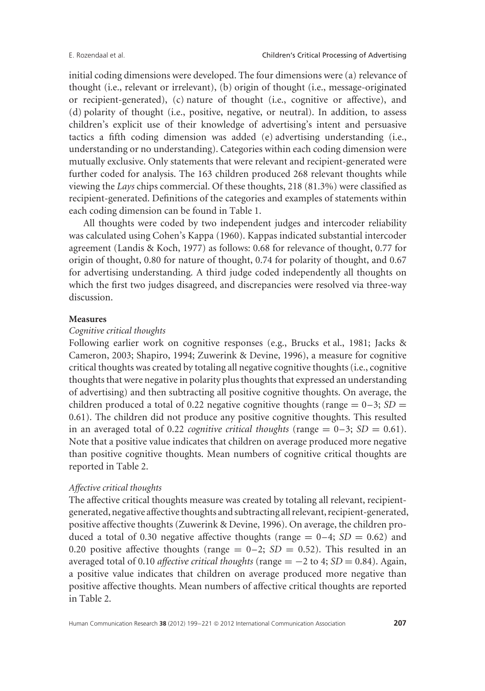initial coding dimensions were developed. The four dimensions were (a) relevance of thought (i.e., relevant or irrelevant), (b) origin of thought (i.e., message-originated or recipient-generated), (c) nature of thought (i.e., cognitive or affective), and (d) polarity of thought (i.e., positive, negative, or neutral). In addition, to assess children's explicit use of their knowledge of advertising's intent and persuasive tactics a fifth coding dimension was added (e) advertising understanding (i.e., understanding or no understanding). Categories within each coding dimension were mutually exclusive. Only statements that were relevant and recipient-generated were further coded for analysis. The 163 children produced 268 relevant thoughts while viewing the *Lays* chips commercial. Of these thoughts, 218 (81.3%) were classified as recipient-generated. Definitions of the categories and examples of statements within each coding dimension can be found in Table 1.

All thoughts were coded by two independent judges and intercoder reliability was calculated using Cohen's Kappa (1960). Kappas indicated substantial intercoder agreement (Landis & Koch, 1977) as follows: 0.68 for relevance of thought, 0.77 for origin of thought, 0.80 for nature of thought, 0.74 for polarity of thought, and 0.67 for advertising understanding. A third judge coded independently all thoughts on which the first two judges disagreed, and discrepancies were resolved via three-way discussion.

### **Measures**

# *Cognitive critical thoughts*

Following earlier work on cognitive responses (e.g., Brucks et al., 1981; Jacks & Cameron, 2003; Shapiro, 1994; Zuwerink & Devine, 1996), a measure for cognitive critical thoughts was created by totaling all negative cognitive thoughts (i.e., cognitive thoughts that were negative in polarity plus thoughts that expressed an understanding of advertising) and then subtracting all positive cognitive thoughts. On average, the children produced a total of 0.22 negative cognitive thoughts (range  $= 0-3$ ; *SD*  $=$ 0.61). The children did not produce any positive cognitive thoughts. This resulted in an averaged total of 0.22 *cognitive critical thoughts* (range  $= 0-3$ ; *SD*  $= 0.61$ ). Note that a positive value indicates that children on average produced more negative than positive cognitive thoughts. Mean numbers of cognitive critical thoughts are reported in Table 2.

## *Affective critical thoughts*

The affective critical thoughts measure was created by totaling all relevant, recipientgenerated, negative affective thoughts and subtracting all relevant, recipient-generated, positive affective thoughts (Zuwerink & Devine, 1996). On average, the children produced a total of 0.30 negative affective thoughts (range  $= 0-4$ ; *SD*  $= 0.62$ ) and 0.20 positive affective thoughts (range  $= 0-2$ ; *SD*  $= 0.52$ ). This resulted in an averaged total of 0.10 *affective critical thoughts* (range  $= -2$  to 4; *SD* = 0.84). Again, a positive value indicates that children on average produced more negative than positive affective thoughts. Mean numbers of affective critical thoughts are reported in Table 2.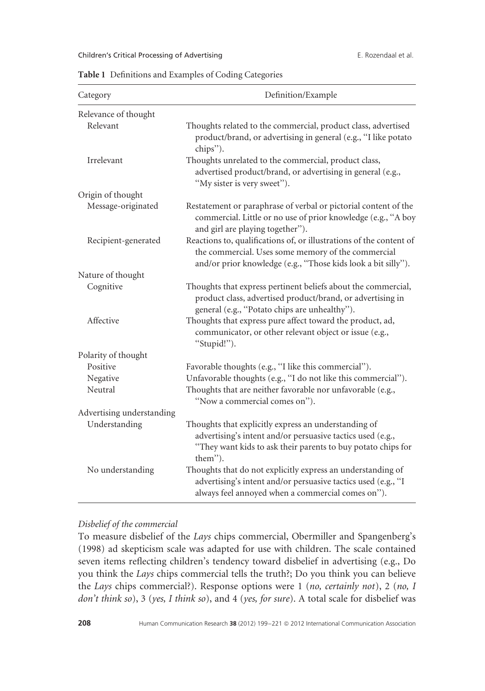### Children's Critical Processing of Advertising example and the example of the E. Rozendaal et al.

| Category                  | Definition/Example                                                                                                                                                                            |  |  |
|---------------------------|-----------------------------------------------------------------------------------------------------------------------------------------------------------------------------------------------|--|--|
| Relevance of thought      |                                                                                                                                                                                               |  |  |
| Relevant                  | Thoughts related to the commercial, product class, advertised<br>product/brand, or advertising in general (e.g., "I like potato<br>chips").                                                   |  |  |
| Irrelevant                | Thoughts unrelated to the commercial, product class,<br>advertised product/brand, or advertising in general (e.g.,<br>"My sister is very sweet").                                             |  |  |
| Origin of thought         |                                                                                                                                                                                               |  |  |
| Message-originated        | Restatement or paraphrase of verbal or pictorial content of the<br>commercial. Little or no use of prior knowledge (e.g., "A boy<br>and girl are playing together").                          |  |  |
| Recipient-generated       | Reactions to, qualifications of, or illustrations of the content of<br>the commercial. Uses some memory of the commercial<br>and/or prior knowledge (e.g., "Those kids look a bit silly").    |  |  |
| Nature of thought         |                                                                                                                                                                                               |  |  |
| Cognitive                 | Thoughts that express pertinent beliefs about the commercial,<br>product class, advertised product/brand, or advertising in<br>general (e.g., "Potato chips are unhealthy").                  |  |  |
| Affective                 | Thoughts that express pure affect toward the product, ad,<br>communicator, or other relevant object or issue (e.g.,<br>"Stupid!").                                                            |  |  |
| Polarity of thought       |                                                                                                                                                                                               |  |  |
| Positive                  | Favorable thoughts (e.g., "I like this commercial").                                                                                                                                          |  |  |
| Negative                  | Unfavorable thoughts (e.g., "I do not like this commercial").                                                                                                                                 |  |  |
| Neutral                   | Thoughts that are neither favorable nor unfavorable (e.g.,<br>"Now a commercial comes on").                                                                                                   |  |  |
| Advertising understanding |                                                                                                                                                                                               |  |  |
| Understanding             | Thoughts that explicitly express an understanding of<br>advertising's intent and/or persuasive tactics used (e.g.,<br>"They want kids to ask their parents to buy potato chips for<br>them"). |  |  |
| No understanding          | Thoughts that do not explicitly express an understanding of<br>advertising's intent and/or persuasive tactics used (e.g., "I<br>always feel annoyed when a commercial comes on").             |  |  |

# **Table 1** Definitions and Examples of Coding Categories

# *Disbelief of the commercial*

To measure disbelief of the *Lays* chips commercial, Obermiller and Spangenberg's (1998) ad skepticism scale was adapted for use with children. The scale contained seven items reflecting children's tendency toward disbelief in advertising (e.g., Do you think the *Lays* chips commercial tells the truth?; Do you think you can believe the *Lays* chips commercial?). Response options were 1 (*no, certainly not*), 2 (*no, I don't think so*), 3 (*yes, I think so*), and 4 (*yes, for sure*). A total scale for disbelief was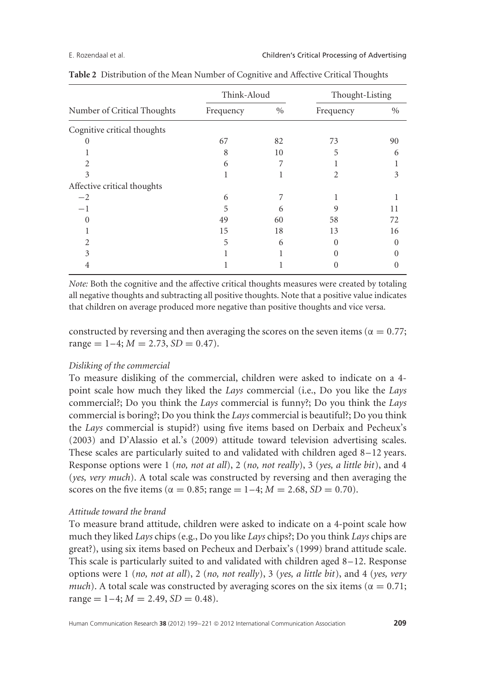|                             | Think-Aloud |      | Thought-Listing |      |
|-----------------------------|-------------|------|-----------------|------|
| Number of Critical Thoughts | Frequency   | $\%$ | Frequency       | $\%$ |
| Cognitive critical thoughts |             |      |                 |      |
|                             | 67          | 82   | 73              | 90   |
|                             | 8           | 10   | 5               | 6    |
|                             | 6           |      |                 |      |
| 3                           |             |      | 2               | 3    |
| Affective critical thoughts |             |      |                 |      |
| $-2$                        | 6           |      |                 |      |
| $-1$                        | 5           | 6    |                 | 11   |
|                             | 49          | 60   | 58              | 72   |
|                             | 15          | 18   | 13              | 16   |
|                             | 5           | 6    |                 |      |
| 3                           |             |      |                 |      |
|                             |             |      |                 |      |

**Table 2** Distribution of the Mean Number of Cognitive and Affective Critical Thoughts

*Note:* Both the cognitive and the affective critical thoughts measures were created by totaling all negative thoughts and subtracting all positive thoughts. Note that a positive value indicates that children on average produced more negative than positive thoughts and vice versa.

constructed by reversing and then averaging the scores on the seven items ( $\alpha = 0.77$ ; range =  $1-4$ ;  $M = 2.73$ ,  $SD = 0.47$ ).

### *Disliking of the commercial*

To measure disliking of the commercial, children were asked to indicate on a 4 point scale how much they liked the *Lays* commercial (i.e., Do you like the *Lays* commercial?; Do you think the *Lays* commercial is funny?; Do you think the *Lays* commercial is boring?; Do you think the *Lays* commercial is beautiful?; Do you think the *Lays* commercial is stupid?) using five items based on Derbaix and Pecheux's (2003) and D'Alassio et al.'s (2009) attitude toward television advertising scales. These scales are particularly suited to and validated with children aged 8–12 years. Response options were 1 (*no, not at all*), 2 (*no, not really*), 3 (*yes, a little bit*), and 4 (*yes, very much*). A total scale was constructed by reversing and then averaging the scores on the five items ( $\alpha = 0.85$ ; range = 1-4;  $M = 2.68$ ,  $SD = 0.70$ ).

### *Attitude toward the brand*

To measure brand attitude, children were asked to indicate on a 4-point scale how much they liked *Lays* chips (e.g., Do you like *Lays* chips?; Do you think *Lays* chips are great?), using six items based on Pecheux and Derbaix's (1999) brand attitude scale. This scale is particularly suited to and validated with children aged 8–12. Response options were 1 (*no, not at all*), 2 (*no, not really*), 3 (*yes, a little bit*), and 4 (*yes, very much*). A total scale was constructed by averaging scores on the six items ( $\alpha = 0.71$ ;  $range = 1-4$ ;  $M = 2.49$ ,  $SD = 0.48$ ).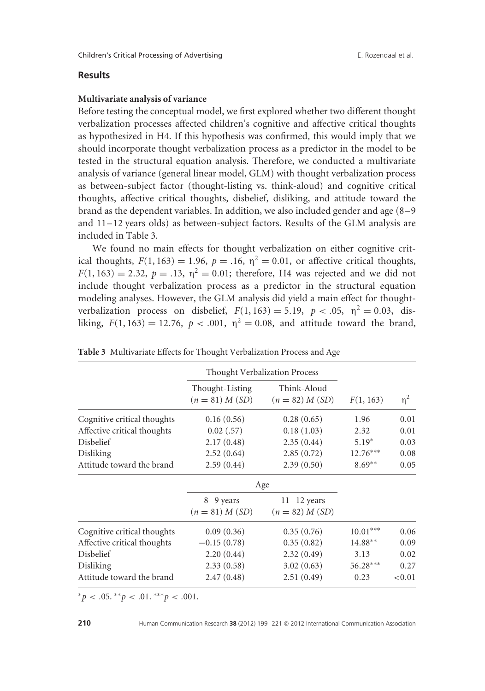### **Results**

### **Multivariate analysis of variance**

Before testing the conceptual model, we first explored whether two different thought verbalization processes affected children's cognitive and affective critical thoughts as hypothesized in H4. If this hypothesis was confirmed, this would imply that we should incorporate thought verbalization process as a predictor in the model to be tested in the structural equation analysis. Therefore, we conducted a multivariate analysis of variance (general linear model, GLM) with thought verbalization process as between-subject factor (thought-listing vs. think-aloud) and cognitive critical thoughts, affective critical thoughts, disbelief, disliking, and attitude toward the brand as the dependent variables. In addition, we also included gender and age (8–9 and 11–12 years olds) as between-subject factors. Results of the GLM analysis are included in Table 3.

We found no main effects for thought verbalization on either cognitive critical thoughts,  $F(1, 163) = 1.96$ ,  $p = .16$ ,  $n^2 = 0.01$ , or affective critical thoughts,  $F(1, 163) = 2.32$ ,  $p = .13$ ,  $p^2 = 0.01$ ; therefore, H4 was rejected and we did not include thought verbalization process as a predictor in the structural equation modeling analyses. However, the GLM analysis did yield a main effect for thoughtverbalization process on disbelief,  $F(1, 163) = 5.19$ ,  $p < .05$ ,  $\eta^2 = 0.03$ , disliking,  $F(1, 163) = 12.76$ ,  $p < .001$ ,  $\eta^2 = 0.08$ , and attitude toward the brand,

|                             | <b>Thought Verbalization Process</b> |                                     |            |          |
|-----------------------------|--------------------------------------|-------------------------------------|------------|----------|
|                             | Thought-Listing<br>$(n = 81) M(SD)$  | Think-Aloud<br>$(n = 82) M (SD)$    | F(1, 163)  | $\eta^2$ |
| Cognitive critical thoughts | 0.16(0.56)                           | 0.28(0.65)                          | 1.96       | 0.01     |
| Affective critical thoughts | 0.02(.57)                            | 0.18(1.03)                          | 2.32       | 0.01     |
| <b>Dishelief</b>            | 2.17(0.48)                           | 2.35(0.44)                          | $5.19*$    | 0.03     |
| Disliking                   | 2.52(0.64)                           | 2.85(0.72)                          | $12.76***$ | 0.08     |
| Attitude toward the brand   | 2.59(0.44)                           | 2.39(0.50)                          | $8.69**$   | 0.05     |
|                             | Age                                  |                                     |            |          |
|                             | 8–9 years<br>$(n = 81) M(SD)$        | $11 - 12$ years<br>$(n = 82) M(SD)$ |            |          |
| Cognitive critical thoughts | 0.09(0.36)                           | 0.35(0.76)                          | $10.01***$ | 0.06     |
| Affective critical thoughts | $-0.15(0.78)$                        | 0.35(0.82)                          | $14.88**$  | 0.09     |
| <b>Disbelief</b>            | 2.20(0.44)                           | 2.32(0.49)                          | 3.13       | 0.02     |
| Disliking                   | 2.33(0.58)                           | 3.02(0.63)                          | $56.28***$ | 0.27     |
| Attitude toward the brand   | 2.47(0.48)                           | 2.51(0.49)                          | 0.23       | < 0.01   |

**Table 3** Multivariate Effects for Thought Verbalization Process and Age

 ${}^*p < .05.$   ${}^{**}p < .01.$   ${}^{***}p < .001.$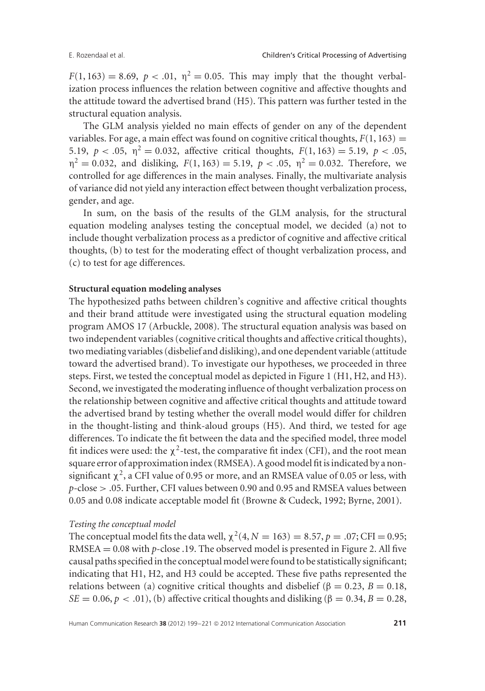$F(1, 163) = 8.69, p < .01, \eta^2 = 0.05$ . This may imply that the thought verbalization process influences the relation between cognitive and affective thoughts and the attitude toward the advertised brand (H5). This pattern was further tested in the structural equation analysis.

The GLM analysis yielded no main effects of gender on any of the dependent variables. For age, a main effect was found on cognitive critical thoughts,  $F(1, 163) =$ 5.19,  $p < .05$ ,  $\eta^2 = 0.032$ , affective critical thoughts,  $F(1, 163) = 5.19$ ,  $p < .05$ ,  $\eta^2 = 0.032$ , and disliking,  $F(1, 163) = 5.19$ ,  $p < .05$ ,  $\eta^2 = 0.032$ . Therefore, we controlled for age differences in the main analyses. Finally, the multivariate analysis of variance did not yield any interaction effect between thought verbalization process, gender, and age.

In sum, on the basis of the results of the GLM analysis, for the structural equation modeling analyses testing the conceptual model, we decided (a) not to include thought verbalization process as a predictor of cognitive and affective critical thoughts, (b) to test for the moderating effect of thought verbalization process, and (c) to test for age differences.

# **Structural equation modeling analyses**

The hypothesized paths between children's cognitive and affective critical thoughts and their brand attitude were investigated using the structural equation modeling program AMOS 17 (Arbuckle, 2008). The structural equation analysis was based on two independent variables (cognitive critical thoughts and affective critical thoughts), two mediating variables (disbelief and disliking), and one dependent variable (attitude toward the advertised brand). To investigate our hypotheses, we proceeded in three steps. First, we tested the conceptual model as depicted in Figure 1 (H1, H2, and H3). Second, we investigated the moderating influence of thought verbalization process on the relationship between cognitive and affective critical thoughts and attitude toward the advertised brand by testing whether the overall model would differ for children in the thought-listing and think-aloud groups (H5). And third, we tested for age differences. To indicate the fit between the data and the specified model, three model fit indices were used: the  $\chi^2$ -test, the comparative fit index (CFI), and the root mean square error of approximation index (RMSEA). A good model fit is indicated by a nonsignificant  $\chi^2$ , a CFI value of 0.95 or more, and an RMSEA value of 0.05 or less, with *p*-close *>* .05. Further, CFI values between 0.90 and 0.95 and RMSEA values between 0.05 and 0.08 indicate acceptable model fit (Browne & Cudeck, 1992; Byrne, 2001).

### *Testing the conceptual model*

The conceptual model fits the data well,  $χ^2(4, N = 163) = 8.57, p = .07$ ; CFI = 0.95; RMSEA  $= 0.08$  with *p*-close .19. The observed model is presented in Figure 2. All five causal paths specified in the conceptual model were found to be statistically significant; indicating that H1, H2, and H3 could be accepted. These five paths represented the relations between (a) cognitive critical thoughts and disbelief ( $\beta = 0.23$ ,  $B = 0.18$ , *SE* = 0.06, *p* < .01), (b) affective critical thoughts and disliking (β = 0.34, *B* = 0.28,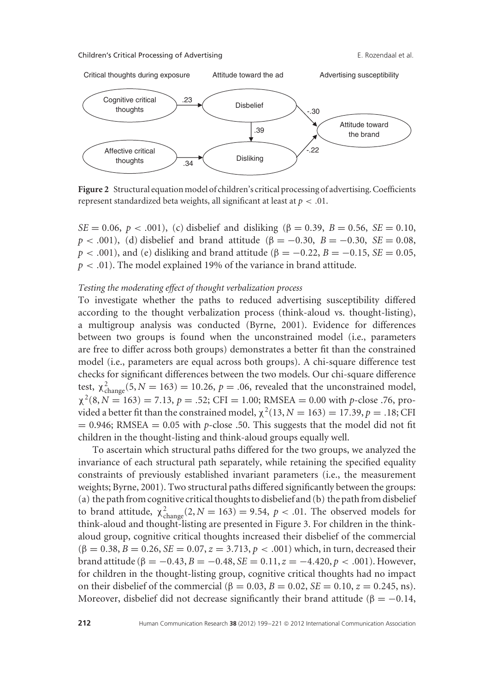#### Children's Critical Processing of Advertising example and the set of the E. Rozendaal et al.



**Figure 2** Structural equation model of children's critical processing of advertising. Coefficients represent standardized beta weights, all significant at least at *p < .*01.

*SE* = 0.06, *p* < .001), (c) disbelief and disliking (β = 0.39, B = 0.56, *SE* = 0.10,  $p < .001$ , (d) disbelief and brand attitude ( $\beta = -0.30$ ,  $B = -0.30$ ,  $SE = 0.08$ , *p* < *.*001), and (e) disliking and brand attitude (β = −0.22, *B* = −0.15, *SE* = 0.05, *p < .*01). The model explained 19% of the variance in brand attitude.

### *Testing the moderating effect of thought verbalization process*

To investigate whether the paths to reduced advertising susceptibility differed according to the thought verbalization process (think-aloud vs. thought-listing), a multigroup analysis was conducted (Byrne, 2001). Evidence for differences between two groups is found when the unconstrained model (i.e., parameters are free to differ across both groups) demonstrates a better fit than the constrained model (i.e., parameters are equal across both groups). A chi-square difference test checks for significant differences between the two models. Our chi-square difference test,  $\chi^2_{\text{change}}(5, N = 163) = 10.26$ ,  $p = .06$ , revealed that the unconstrained model,  $\chi^2(8, N = 163) = 7.13$ ,  $p = .52$ ; CFI = 1.00; RMSEA = 0.00 with *p*-close .76, provided a better fit than the constrained model,  $χ^2(13, N = 163) = 17.39, p = .18; CFI$  $= 0.946$ ; RMSEA  $= 0.05$  with *p*-close .50. This suggests that the model did not fit children in the thought-listing and think-aloud groups equally well.

To ascertain which structural paths differed for the two groups, we analyzed the invariance of each structural path separately, while retaining the specified equality constraints of previously established invariant parameters (i.e., the measurement weights; Byrne, 2001). Two structural paths differed significantly between the groups: (a) the path from cognitive critical thoughts to disbelief and (b) the path from disbelief to brand attitude,  $\chi^2_{\text{change}}(2, N = 163) = 9.54$ ,  $p < .01$ . The observed models for think-aloud and thought-listing are presented in Figure 3. For children in the thinkaloud group, cognitive critical thoughts increased their disbelief of the commercial  $(\beta = 0.38, B = 0.26, SE = 0.07, z = 3.713, p < .001)$  which, in turn, decreased their brand attitude (β = −0*.*43, *B* = −0*.*48, *SE* = 0*.*11,*z* = −4*.*420, *p < .*001). However, for children in the thought-listing group, cognitive critical thoughts had no impact on their disbelief of the commercial (β = 0*.*03, *B* = 0*.*02, *SE* = 0*.*10, *z* = 0*.*245, ns). Moreover, disbelief did not decrease significantly their brand attitude ( $\beta = -0.14$ ,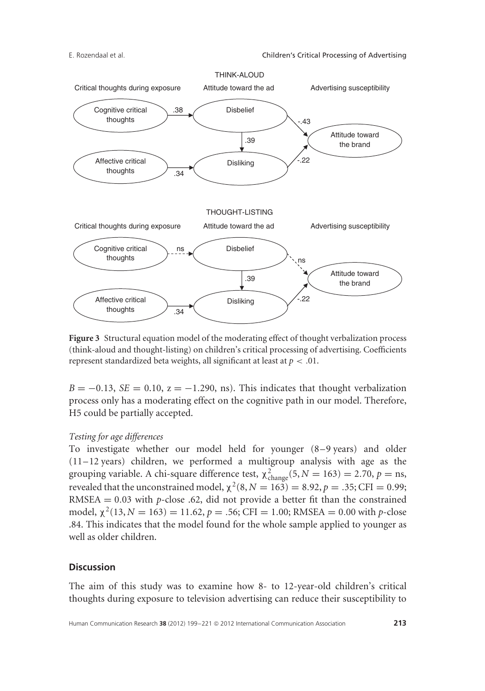

**Figure 3** Structural equation model of the moderating effect of thought verbalization process (think-aloud and thought-listing) on children's critical processing of advertising. Coefficients represent standardized beta weights, all significant at least at *p < .*01.

 $B = -0.13$ ,  $SE = 0.10$ ,  $z = -1.290$ , ns). This indicates that thought verbalization process only has a moderating effect on the cognitive path in our model. Therefore, H5 could be partially accepted.

### *Testing for age differences*

To investigate whether our model held for younger (8–9 years) and older (11–12 years) children, we performed a multigroup analysis with age as the grouping variable. A chi-square difference test,  $\chi^2_{\text{change}}(5, N = 163) = 2.70, p = \text{ns}$ , revealed that the unconstrained model,  $χ^2(8, N = 163) = 8.92, p = .35$ ; CFI = 0.99; RMSEA  $= 0.03$  with *p*-close .62, did not provide a better fit than the constrained model,  $\chi^2(13, N = 163) = 11.62$ ,  $p = .56$ ; CFI = 1.00; RMSEA = 0.00 with *p*-close .84. This indicates that the model found for the whole sample applied to younger as well as older children.

# **Discussion**

The aim of this study was to examine how 8- to 12-year-old children's critical thoughts during exposure to television advertising can reduce their susceptibility to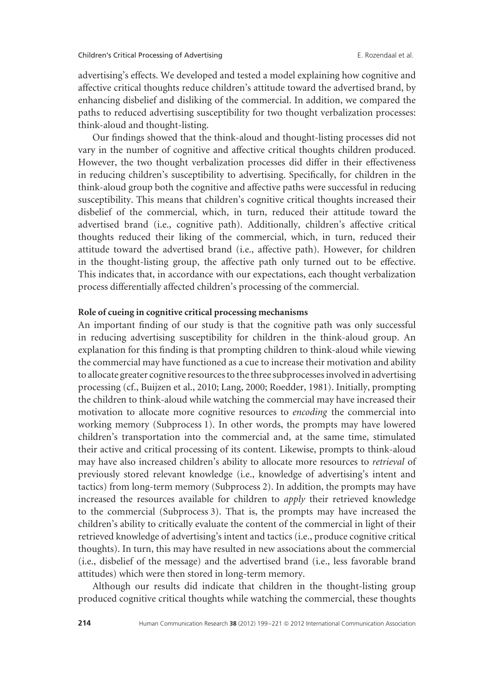advertising's effects. We developed and tested a model explaining how cognitive and affective critical thoughts reduce children's attitude toward the advertised brand, by enhancing disbelief and disliking of the commercial. In addition, we compared the paths to reduced advertising susceptibility for two thought verbalization processes: think-aloud and thought-listing.

Our findings showed that the think-aloud and thought-listing processes did not vary in the number of cognitive and affective critical thoughts children produced. However, the two thought verbalization processes did differ in their effectiveness in reducing children's susceptibility to advertising. Specifically, for children in the think-aloud group both the cognitive and affective paths were successful in reducing susceptibility. This means that children's cognitive critical thoughts increased their disbelief of the commercial, which, in turn, reduced their attitude toward the advertised brand (i.e., cognitive path). Additionally, children's affective critical thoughts reduced their liking of the commercial, which, in turn, reduced their attitude toward the advertised brand (i.e., affective path). However, for children in the thought-listing group, the affective path only turned out to be effective. This indicates that, in accordance with our expectations, each thought verbalization process differentially affected children's processing of the commercial.

### **Role of cueing in cognitive critical processing mechanisms**

An important finding of our study is that the cognitive path was only successful in reducing advertising susceptibility for children in the think-aloud group. An explanation for this finding is that prompting children to think-aloud while viewing the commercial may have functioned as a cue to increase their motivation and ability to allocate greater cognitive resources to the three subprocesses involved in advertising processing (cf., Buijzen et al., 2010; Lang, 2000; Roedder, 1981). Initially, prompting the children to think-aloud while watching the commercial may have increased their motivation to allocate more cognitive resources to *encoding* the commercial into working memory (Subprocess 1). In other words, the prompts may have lowered children's transportation into the commercial and, at the same time, stimulated their active and critical processing of its content. Likewise, prompts to think-aloud may have also increased children's ability to allocate more resources to *retrieval* of previously stored relevant knowledge (i.e., knowledge of advertising's intent and tactics) from long-term memory (Subprocess 2). In addition, the prompts may have increased the resources available for children to *apply* their retrieved knowledge to the commercial (Subprocess 3). That is, the prompts may have increased the children's ability to critically evaluate the content of the commercial in light of their retrieved knowledge of advertising's intent and tactics (i.e., produce cognitive critical thoughts). In turn, this may have resulted in new associations about the commercial (i.e., disbelief of the message) and the advertised brand (i.e., less favorable brand attitudes) which were then stored in long-term memory.

Although our results did indicate that children in the thought-listing group produced cognitive critical thoughts while watching the commercial, these thoughts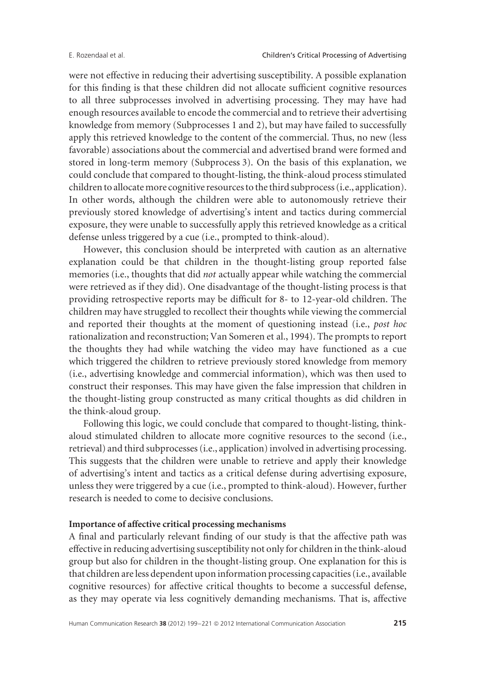were not effective in reducing their advertising susceptibility. A possible explanation for this finding is that these children did not allocate sufficient cognitive resources to all three subprocesses involved in advertising processing. They may have had enough resources available to encode the commercial and to retrieve their advertising knowledge from memory (Subprocesses 1 and 2), but may have failed to successfully apply this retrieved knowledge to the content of the commercial. Thus, no new (less favorable) associations about the commercial and advertised brand were formed and stored in long-term memory (Subprocess 3). On the basis of this explanation, we could conclude that compared to thought-listing, the think-aloud process stimulated children to allocate more cognitive resources to the third subprocess (i.e., application). In other words, although the children were able to autonomously retrieve their previously stored knowledge of advertising's intent and tactics during commercial exposure, they were unable to successfully apply this retrieved knowledge as a critical defense unless triggered by a cue (i.e., prompted to think-aloud).

However, this conclusion should be interpreted with caution as an alternative explanation could be that children in the thought-listing group reported false memories (i.e., thoughts that did *not* actually appear while watching the commercial were retrieved as if they did). One disadvantage of the thought-listing process is that providing retrospective reports may be difficult for 8- to 12-year-old children. The children may have struggled to recollect their thoughts while viewing the commercial and reported their thoughts at the moment of questioning instead (i.e., *post hoc* rationalization and reconstruction; Van Someren et al., 1994). The prompts to report the thoughts they had while watching the video may have functioned as a cue which triggered the children to retrieve previously stored knowledge from memory (i.e., advertising knowledge and commercial information), which was then used to construct their responses. This may have given the false impression that children in the thought-listing group constructed as many critical thoughts as did children in the think-aloud group.

Following this logic, we could conclude that compared to thought-listing, thinkaloud stimulated children to allocate more cognitive resources to the second (i.e., retrieval) and third subprocesses (i.e., application) involved in advertising processing. This suggests that the children were unable to retrieve and apply their knowledge of advertising's intent and tactics as a critical defense during advertising exposure, unless they were triggered by a cue (i.e., prompted to think-aloud). However, further research is needed to come to decisive conclusions.

# **Importance of affective critical processing mechanisms**

A final and particularly relevant finding of our study is that the affective path was effective in reducing advertising susceptibility not only for children in the think-aloud group but also for children in the thought-listing group. One explanation for this is that children are less dependent upon information processing capacities (i.e., available cognitive resources) for affective critical thoughts to become a successful defense, as they may operate via less cognitively demanding mechanisms. That is, affective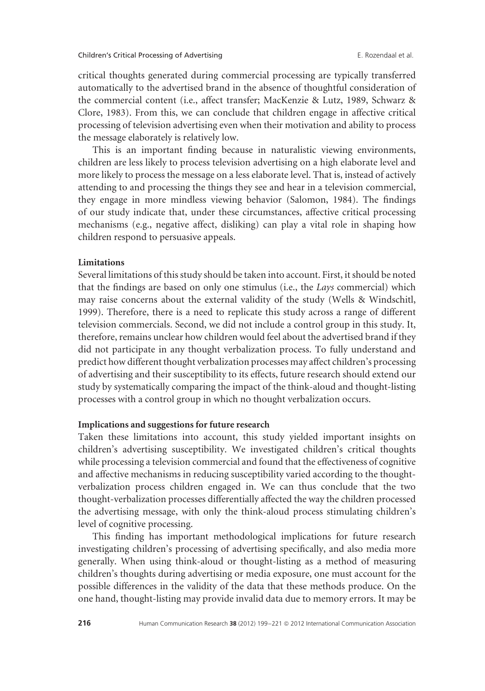critical thoughts generated during commercial processing are typically transferred automatically to the advertised brand in the absence of thoughtful consideration of the commercial content (i.e., affect transfer; MacKenzie & Lutz, 1989, Schwarz & Clore, 1983). From this, we can conclude that children engage in affective critical processing of television advertising even when their motivation and ability to process the message elaborately is relatively low.

This is an important finding because in naturalistic viewing environments, children are less likely to process television advertising on a high elaborate level and more likely to process the message on a less elaborate level. That is, instead of actively attending to and processing the things they see and hear in a television commercial, they engage in more mindless viewing behavior (Salomon, 1984). The findings of our study indicate that, under these circumstances, affective critical processing mechanisms (e.g., negative affect, disliking) can play a vital role in shaping how children respond to persuasive appeals.

#### **Limitations**

Several limitations of this study should be taken into account. First, it should be noted that the findings are based on only one stimulus (i.e., the *Lays* commercial) which may raise concerns about the external validity of the study (Wells & Windschitl, 1999). Therefore, there is a need to replicate this study across a range of different television commercials. Second, we did not include a control group in this study. It, therefore, remains unclear how children would feel about the advertised brand if they did not participate in any thought verbalization process. To fully understand and predict how different thought verbalization processes may affect children's processing of advertising and their susceptibility to its effects, future research should extend our study by systematically comparing the impact of the think-aloud and thought-listing processes with a control group in which no thought verbalization occurs.

### **Implications and suggestions for future research**

Taken these limitations into account, this study yielded important insights on children's advertising susceptibility. We investigated children's critical thoughts while processing a television commercial and found that the effectiveness of cognitive and affective mechanisms in reducing susceptibility varied according to the thoughtverbalization process children engaged in. We can thus conclude that the two thought-verbalization processes differentially affected the way the children processed the advertising message, with only the think-aloud process stimulating children's level of cognitive processing.

This finding has important methodological implications for future research investigating children's processing of advertising specifically, and also media more generally. When using think-aloud or thought-listing as a method of measuring children's thoughts during advertising or media exposure, one must account for the possible differences in the validity of the data that these methods produce. On the one hand, thought-listing may provide invalid data due to memory errors. It may be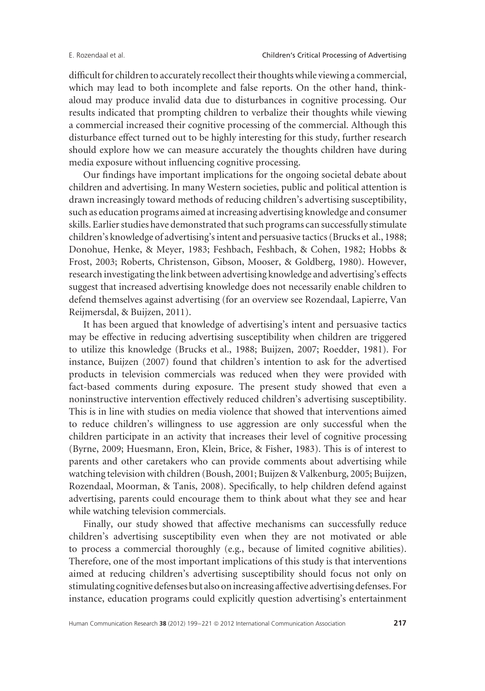difficult for children to accurately recollect their thoughts while viewing a commercial, which may lead to both incomplete and false reports. On the other hand, thinkaloud may produce invalid data due to disturbances in cognitive processing. Our results indicated that prompting children to verbalize their thoughts while viewing a commercial increased their cognitive processing of the commercial. Although this disturbance effect turned out to be highly interesting for this study, further research should explore how we can measure accurately the thoughts children have during media exposure without influencing cognitive processing.

Our findings have important implications for the ongoing societal debate about children and advertising. In many Western societies, public and political attention is drawn increasingly toward methods of reducing children's advertising susceptibility, such as education programs aimed at increasing advertising knowledge and consumer skills. Earlier studies have demonstrated that such programs can successfully stimulate children's knowledge of advertising's intent and persuasive tactics (Brucks et al., 1988; Donohue, Henke, & Meyer, 1983; Feshbach, Feshbach, & Cohen, 1982; Hobbs & Frost, 2003; Roberts, Christenson, Gibson, Mooser, & Goldberg, 1980). However, research investigating the link between advertising knowledge and advertising's effects suggest that increased advertising knowledge does not necessarily enable children to defend themselves against advertising (for an overview see Rozendaal, Lapierre, Van Reijmersdal, & Buijzen, 2011).

It has been argued that knowledge of advertising's intent and persuasive tactics may be effective in reducing advertising susceptibility when children are triggered to utilize this knowledge (Brucks et al., 1988; Buijzen, 2007; Roedder, 1981). For instance, Buijzen (2007) found that children's intention to ask for the advertised products in television commercials was reduced when they were provided with fact-based comments during exposure. The present study showed that even a noninstructive intervention effectively reduced children's advertising susceptibility. This is in line with studies on media violence that showed that interventions aimed to reduce children's willingness to use aggression are only successful when the children participate in an activity that increases their level of cognitive processing (Byrne, 2009; Huesmann, Eron, Klein, Brice, & Fisher, 1983). This is of interest to parents and other caretakers who can provide comments about advertising while watching television with children (Boush, 2001; Buijzen & Valkenburg, 2005; Buijzen, Rozendaal, Moorman, & Tanis, 2008). Specifically, to help children defend against advertising, parents could encourage them to think about what they see and hear while watching television commercials.

Finally, our study showed that affective mechanisms can successfully reduce children's advertising susceptibility even when they are not motivated or able to process a commercial thoroughly (e.g., because of limited cognitive abilities). Therefore, one of the most important implications of this study is that interventions aimed at reducing children's advertising susceptibility should focus not only on stimulating cognitive defenses but also on increasing affective advertising defenses. For instance, education programs could explicitly question advertising's entertainment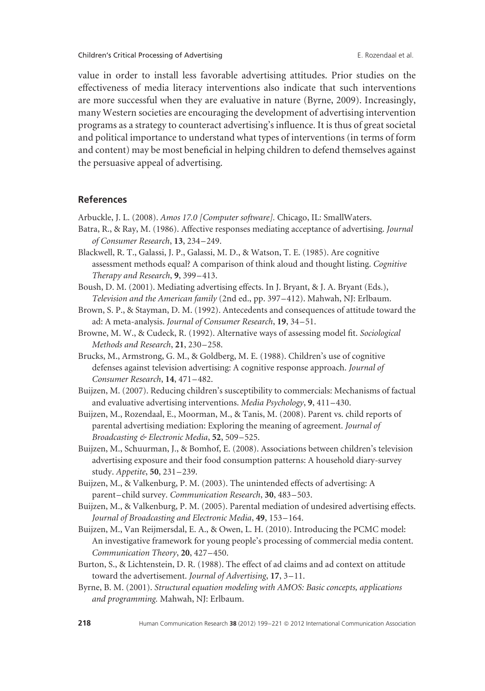value in order to install less favorable advertising attitudes. Prior studies on the effectiveness of media literacy interventions also indicate that such interventions are more successful when they are evaluative in nature (Byrne, 2009). Increasingly, many Western societies are encouraging the development of advertising intervention programs as a strategy to counteract advertising's influence. It is thus of great societal and political importance to understand what types of interventions (in terms of form and content) may be most beneficial in helping children to defend themselves against the persuasive appeal of advertising.

### **References**

- Arbuckle, J. L. (2008). *Amos 17.0 [Computer software].* Chicago, IL: SmallWaters.
- Batra, R., & Ray, M. (1986). Affective responses mediating acceptance of advertising. *Journal of Consumer Research*, **13**, 234–249.
- Blackwell, R. T., Galassi, J. P., Galassi, M. D., & Watson, T. E. (1985). Are cognitive assessment methods equal? A comparison of think aloud and thought listing. *Cognitive Therapy and Research*, **9**, 399–413.
- Boush, D. M. (2001). Mediating advertising effects. In J. Bryant, & J. A. Bryant (Eds.), *Television and the American family* (2nd ed., pp. 397–412). Mahwah, NJ: Erlbaum.
- Brown, S. P., & Stayman, D. M. (1992). Antecedents and consequences of attitude toward the ad: A meta-analysis. *Journal of Consumer Research*, **19**, 34–51.
- Browne, M. W., & Cudeck, R. (1992). Alternative ways of assessing model fit. *Sociological Methods and Research*, **21**, 230–258.
- Brucks, M., Armstrong, G. M., & Goldberg, M. E. (1988). Children's use of cognitive defenses against television advertising: A cognitive response approach. *Journal of Consumer Research*, **14**, 471–482.
- Buijzen, M. (2007). Reducing children's susceptibility to commercials: Mechanisms of factual and evaluative advertising interventions. *Media Psychology*, **9**, 411–430.
- Buijzen, M., Rozendaal, E., Moorman, M., & Tanis, M. (2008). Parent vs. child reports of parental advertising mediation: Exploring the meaning of agreement. *Journal of Broadcasting & Electronic Media*, **52**, 509–525.
- Buijzen, M., Schuurman, J., & Bomhof, E. (2008). Associations between children's television advertising exposure and their food consumption patterns: A household diary-survey study. *Appetite*, **50**, 231–239.
- Buijzen, M., & Valkenburg, P. M. (2003). The unintended effects of advertising: A parent–child survey. *Communication Research*, **30**, 483–503.
- Buijzen, M., & Valkenburg, P. M. (2005). Parental mediation of undesired advertising effects. *Journal of Broadcasting and Electronic Media*, **49**, 153–164.
- Buijzen, M., Van Reijmersdal, E. A., & Owen, L. H. (2010). Introducing the PCMC model: An investigative framework for young people's processing of commercial media content. *Communication Theory*, **20**, 427–450.
- Burton, S., & Lichtenstein, D. R. (1988). The effect of ad claims and ad context on attitude toward the advertisement. *Journal of Advertising*, **17**, 3–11.
- Byrne, B. M. (2001). *Structural equation modeling with AMOS: Basic concepts, applications and programming.* Mahwah, NJ: Erlbaum.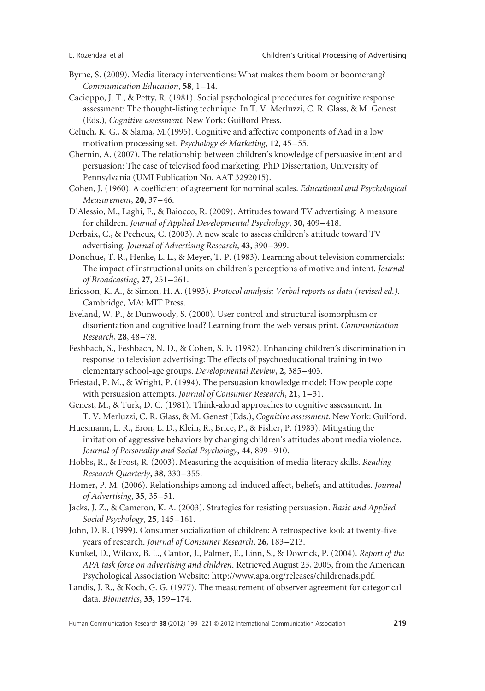- Byrne, S. (2009). Media literacy interventions: What makes them boom or boomerang? *Communication Education*, **58**, 1–14.
- Cacioppo, J. T., & Petty, R. (1981). Social psychological procedures for cognitive response assessment: The thought-listing technique. In T. V. Merluzzi, C. R. Glass, & M. Genest (Eds.), *Cognitive assessment.* New York: Guilford Press.
- Celuch, K. G., & Slama, M.(1995). Cognitive and affective components of Aad in a low motivation processing set. *Psychology & Marketing*, **12**, 45–55.
- Chernin, A. (2007). The relationship between children's knowledge of persuasive intent and persuasion: The case of televised food marketing. PhD Dissertation, University of Pennsylvania (UMI Publication No. AAT 3292015).
- Cohen, J. (1960). A coefficient of agreement for nominal scales. *Educational and Psychological Measurement*, **20**, 37–46.
- D'Alessio, M., Laghi, F., & Baiocco, R. (2009). Attitudes toward TV advertising: A measure for children. *Journal of Applied Developmental Psychology*, **30**, 409–418.
- Derbaix, C., & Pecheux, C. (2003). A new scale to assess children's attitude toward TV advertising. *Journal of Advertising Research*, **43**, 390–399.
- Donohue, T. R., Henke, L. L., & Meyer, T. P. (1983). Learning about television commercials: The impact of instructional units on children's perceptions of motive and intent. *Journal of Broadcasting*, **27**, 251–261.
- Ericsson, K. A., & Simon, H. A. (1993). *Protocol analysis: Verbal reports as data (revised ed.).* Cambridge, MA: MIT Press.
- Eveland, W. P., & Dunwoody, S. (2000). User control and structural isomorphism or disorientation and cognitive load? Learning from the web versus print. *Communication Research*, **28**, 48–78.
- Feshbach, S., Feshbach, N. D., & Cohen, S. E. (1982). Enhancing children's discrimination in response to television advertising: The effects of psychoeducational training in two elementary school-age groups. *Developmental Review*, **2**, 385–403.
- Friestad, P. M., & Wright, P. (1994). The persuasion knowledge model: How people cope with persuasion attempts. *Journal of Consumer Research*, **21**, 1–31.
- Genest, M., & Turk, D. C. (1981). Think-aloud approaches to cognitive assessment. In T. V. Merluzzi, C. R. Glass, & M. Genest (Eds.), *Cognitive assessment.* New York: Guilford.
- Huesmann, L. R., Eron, L. D., Klein, R., Brice, P., & Fisher, P. (1983). Mitigating the imitation of aggressive behaviors by changing children's attitudes about media violence. *Journal of Personality and Social Psychology*, **44**, 899–910.
- Hobbs, R., & Frost, R. (2003). Measuring the acquisition of media-literacy skills. *Reading Research Quarterly*, **38**, 330–355.
- Homer, P. M. (2006). Relationships among ad-induced affect, beliefs, and attitudes. *Journal of Advertising*, **35**, 35–51.
- Jacks, J. Z., & Cameron, K. A. (2003). Strategies for resisting persuasion. *Basic and Applied Social Psychology*, **25**, 145–161.
- John, D. R. (1999). Consumer socialization of children: A retrospective look at twenty-five years of research. *Journal of Consumer Research*, **26**, 183–213.
- Kunkel, D., Wilcox, B. L., Cantor, J., Palmer, E., Linn, S., & Dowrick, P. (2004). *Report of the APA task force on advertising and children*. Retrieved August 23, 2005, from the American Psychological Association Website: http://www.apa.org/releases/childrenads.pdf.
- Landis, J. R., & Koch, G. G. (1977). The measurement of observer agreement for categorical data. *Biometrics*, **33,** 159–174.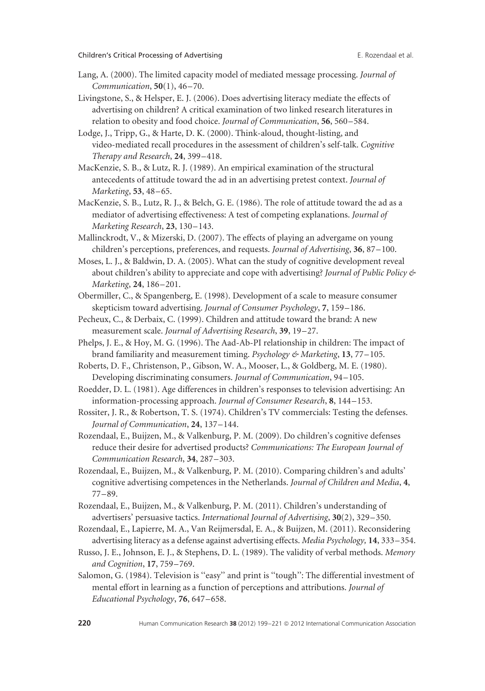- Lang, A. (2000). The limited capacity model of mediated message processing. *Journal of Communication*, **50**(1), 46–70.
- Livingstone, S., & Helsper, E. J. (2006). Does advertising literacy mediate the effects of advertising on children? A critical examination of two linked research literatures in relation to obesity and food choice. *Journal of Communication*, **56**, 560–584.
- Lodge, J., Tripp, G., & Harte, D. K. (2000). Think-aloud, thought-listing, and video-mediated recall procedures in the assessment of children's self-talk. *Cognitive Therapy and Research*, **24**, 399–418.
- MacKenzie, S. B., & Lutz, R. J. (1989). An empirical examination of the structural antecedents of attitude toward the ad in an advertising pretest context. *Journal of Marketing*, **53**, 48–65.
- MacKenzie, S. B., Lutz, R. J., & Belch, G. E. (1986). The role of attitude toward the ad as a mediator of advertising effectiveness: A test of competing explanations. *Journal of Marketing Research*, **23**, 130–143.
- Mallinckrodt, V., & Mizerski, D. (2007). The effects of playing an advergame on young children's perceptions, preferences, and requests. *Journal of Advertising*, **36**, 87–100.
- Moses, L. J., & Baldwin, D. A. (2005). What can the study of cognitive development reveal about children's ability to appreciate and cope with advertising? *Journal of Public Policy & Marketing*, **24**, 186–201.
- Obermiller, C., & Spangenberg, E. (1998). Development of a scale to measure consumer skepticism toward advertising. *Journal of Consumer Psychology*, **7**, 159–186.
- Pecheux, C., & Derbaix, C. (1999). Children and attitude toward the brand: A new measurement scale. *Journal of Advertising Research*, **39**, 19–27.
- Phelps, J. E., & Hoy, M. G. (1996). The Aad-Ab-PI relationship in children: The impact of brand familiarity and measurement timing. *Psychology & Marketing*, **13**, 77–105.
- Roberts, D. F., Christenson, P., Gibson, W. A., Mooser, L., & Goldberg, M. E. (1980). Developing discriminating consumers. *Journal of Communication*, 94–105.
- Roedder, D. L. (1981). Age differences in children's responses to television advertising: An information-processing approach. *Journal of Consumer Research*, **8**, 144–153.
- Rossiter, J. R., & Robertson, T. S. (1974). Children's TV commercials: Testing the defenses. *Journal of Communication*, **24**, 137–144.
- Rozendaal, E., Buijzen, M., & Valkenburg, P. M. (2009). Do children's cognitive defenses reduce their desire for advertised products? *Communications: The European Journal of Communication Research*, **34**, 287–303.
- Rozendaal, E., Buijzen, M., & Valkenburg, P. M. (2010). Comparing children's and adults' cognitive advertising competences in the Netherlands. *Journal of Children and Media*, **4**, 77–89.
- Rozendaal, E., Buijzen, M., & Valkenburg, P. M. (2011). Children's understanding of advertisers' persuasive tactics. *International Journal of Advertising*, **30**(2), 329–350.
- Rozendaal, E., Lapierre, M. A., Van Reijmersdal, E. A., & Buijzen, M. (2011). Reconsidering advertising literacy as a defense against advertising effects. *Media Psychology,* **14**, 333–354.
- Russo, J. E., Johnson, E. J., & Stephens, D. L. (1989). The validity of verbal methods. *Memory and Cognition*, **17**, 759–769.
- Salomon, G. (1984). Television is "easy" and print is "tough": The differential investment of mental effort in learning as a function of perceptions and attributions. *Journal of Educational Psychology*, **76**, 647–658.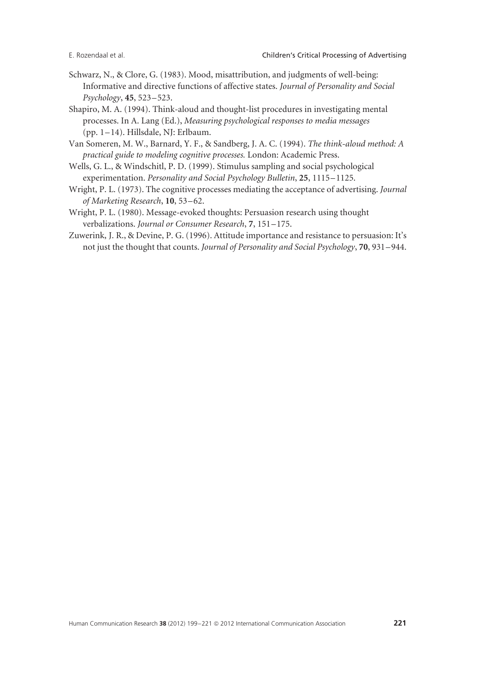- Schwarz, N., & Clore, G. (1983). Mood, misattribution, and judgments of well-being: Informative and directive functions of affective states. *Journal of Personality and Social Psychology*, **45**, 523–523.
- Shapiro, M. A. (1994). Think-aloud and thought-list procedures in investigating mental processes. In A. Lang (Ed.), *Measuring psychological responses to media messages* (pp. 1–14). Hillsdale, NJ: Erlbaum.
- Van Someren, M. W., Barnard, Y. F., & Sandberg, J. A. C. (1994). *The think-aloud method: A practical guide to modeling cognitive processes.* London: Academic Press.
- Wells, G. L., & Windschitl, P. D. (1999). Stimulus sampling and social psychological experimentation. *Personality and Social Psychology Bulletin*, **25**, 1115–1125.
- Wright, P. L. (1973). The cognitive processes mediating the acceptance of advertising. *Journal of Marketing Research*, **10**, 53–62.
- Wright, P. L. (1980). Message-evoked thoughts: Persuasion research using thought verbalizations. *Journal or Consumer Research*, **7**, 151–175.
- Zuwerink, J. R., & Devine, P. G. (1996). Attitude importance and resistance to persuasion: It's not just the thought that counts. *Journal of Personality and Social Psychology*, **70**, 931–944.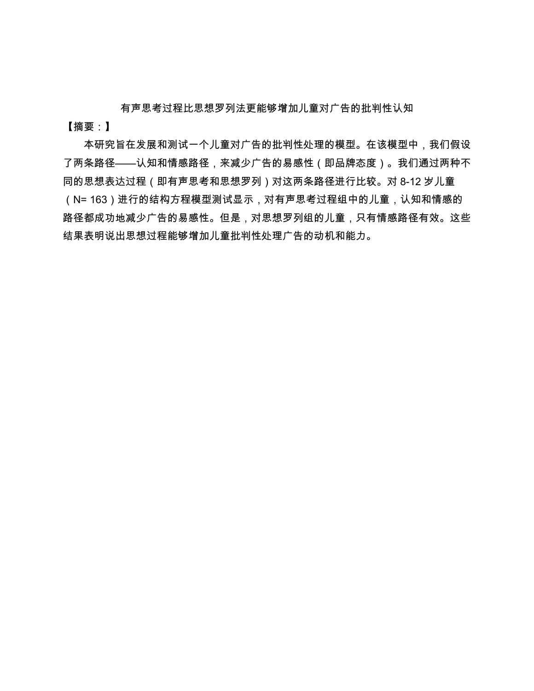有声思考过程比思想罗列法更能够增加儿童对广告的批判性认知 【摘要:】

本研究旨在发展和测试一个儿童对广告的批判性处理的模型。在该模型中,我们假设 了两条路径——认知和情感路径,来减少广告的易感性(即品牌态度)。我们通过两种不 同的思想表达过程(即有声思考和思想罗列)对这两条路径进行比较。对 8-12 岁儿童 (N= 163)进行的结构方程模型测试显示,对有声思考过程组中的儿童,认知和情感的 路径都成功地减少广告的易感性。但是,对思想罗列组的儿童,只有情感路径有效。这些 结果表明说出思想过程能够增加儿童批判性处理广告的动机和能力。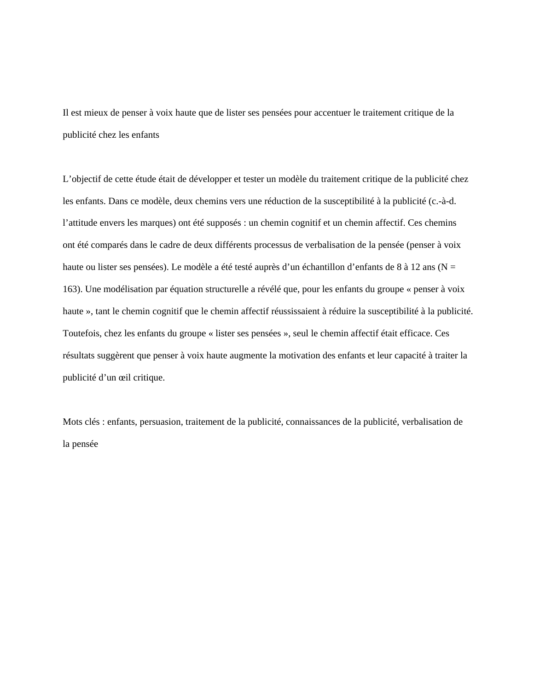Il est mieux de penser à voix haute que de lister ses pensées pour accentuer le traitement critique de la publicité chez les enfants

L'objectif de cette étude était de développer et tester un modèle du traitement critique de la publicité chez les enfants. Dans ce modèle, deux chemins vers une réduction de la susceptibilité à la publicité (c.-à-d. l'attitude envers les marques) ont été supposés : un chemin cognitif et un chemin affectif. Ces chemins ont été comparés dans le cadre de deux différents processus de verbalisation de la pensée (penser à voix haute ou lister ses pensées). Le modèle a été testé auprès d'un échantillon d'enfants de 8 à 12 ans (N = 163). Une modélisation par équation structurelle a révélé que, pour les enfants du groupe « penser à voix haute », tant le chemin cognitif que le chemin affectif réussissaient à réduire la susceptibilité à la publicité. Toutefois, chez les enfants du groupe « lister ses pensées », seul le chemin affectif était efficace. Ces résultats suggèrent que penser à voix haute augmente la motivation des enfants et leur capacité à traiter la publicité d'un œil critique.

Mots clés : enfants, persuasion, traitement de la publicité, connaissances de la publicité, verbalisation de la pensée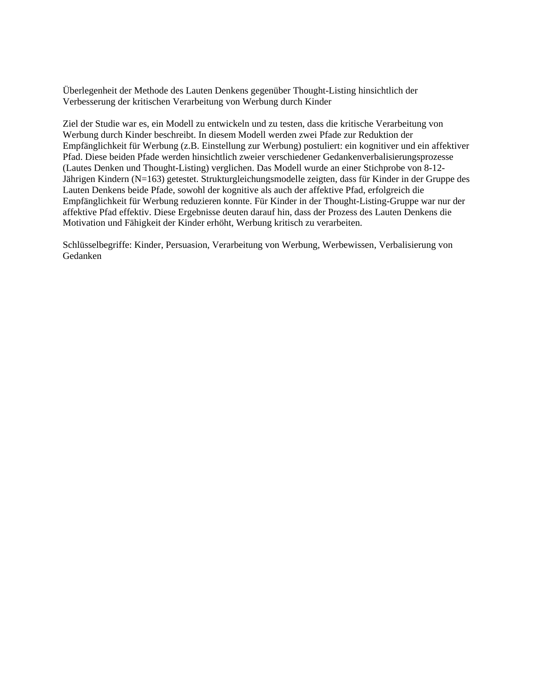Überlegenheit der Methode des Lauten Denkens gegenüber Thought-Listing hinsichtlich der Verbesserung der kritischen Verarbeitung von Werbung durch Kinder

Ziel der Studie war es, ein Modell zu entwickeln und zu testen, dass die kritische Verarbeitung von Werbung durch Kinder beschreibt. In diesem Modell werden zwei Pfade zur Reduktion der Empfänglichkeit für Werbung (z.B. Einstellung zur Werbung) postuliert: ein kognitiver und ein affektiver Pfad. Diese beiden Pfade werden hinsichtlich zweier verschiedener Gedankenverbalisierungsprozesse (Lautes Denken und Thought-Listing) verglichen. Das Modell wurde an einer Stichprobe von 8-12- Jährigen Kindern (N=163) getestet. Strukturgleichungsmodelle zeigten, dass für Kinder in der Gruppe des Lauten Denkens beide Pfade, sowohl der kognitive als auch der affektive Pfad, erfolgreich die Empfänglichkeit für Werbung reduzieren konnte. Für Kinder in der Thought-Listing-Gruppe war nur der affektive Pfad effektiv. Diese Ergebnisse deuten darauf hin, dass der Prozess des Lauten Denkens die Motivation und Fähigkeit der Kinder erhöht, Werbung kritisch zu verarbeiten.

Schlüsselbegriffe: Kinder, Persuasion, Verarbeitung von Werbung, Werbewissen, Verbalisierung von Gedanken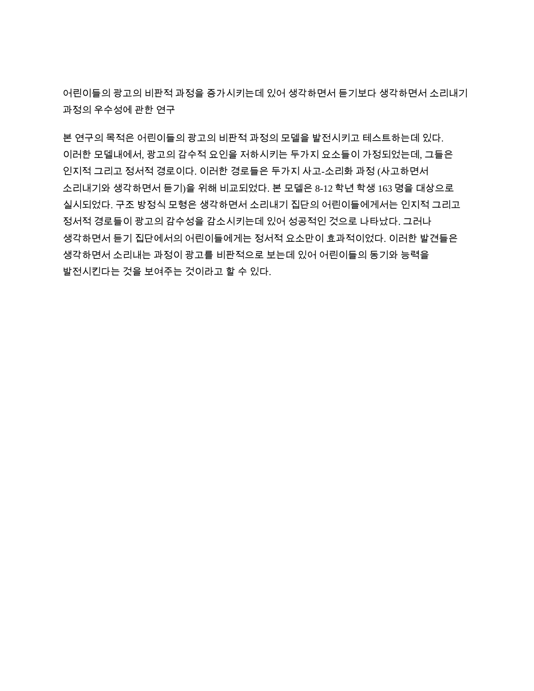어린이들의 광고의 비판적 과정을 증가시키는데 있어 생각하면서 듣기보다 생각하면서 소리내기 과정의 우수성에 관한 연구

본 연구의 목적은 어린이들의 광고의 비판적 과정의 모델을 발전시키고 테스트하는데 있다. 이러한 모델내에서, 광고의 감수적 요인을 저하시키는 두가지 요소들이 가정되었는데, 그들은 인지적 그리고 정서적 경로이다. 이러한 경로들은 두가지 사고-소리화 과정 (사고하면서 소리내기와 생각하면서 듣기)을 위해 비교되었다. 본 모델은 8-12 학년 학생 163 명을 대상으로 실시되었다. 구조 방정식 모형은 생각하면서 소리내기 집단의 어린이들에게서는 인지적 그리고 정서적 경로들이 광고의 감수성을 감소시키는데 있어 성공적인 것으로 나타났다. 그러나 생각하면서 듣기 집단에서의 어린이들에게는 정서적 요소만이 효과적이었다. 이러한 발견들은 생각하면서 소리내는 과정이 광고를 비판적으로 보는데 있어 어린이들의 동기와 능력을 발전시킨다는 것을 보여주는 것이라고 할 수 있다.